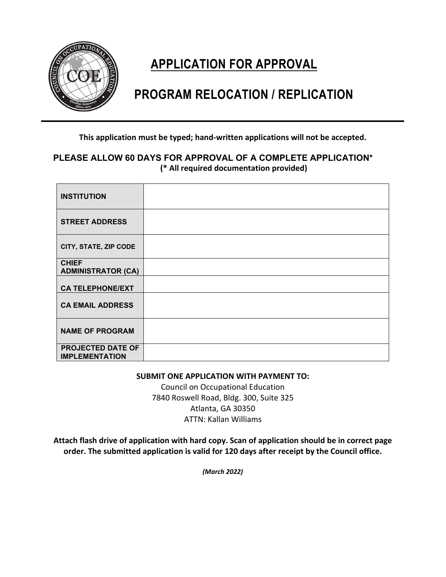

# **APPLICATION FOR APPROVAL**

# **PROGRAM RELOCATION / REPLICATION**

**This application must be typed; hand-written applications will not be accepted.**

## **PLEASE ALLOW 60 DAYS FOR APPROVAL OF A COMPLETE APPLICATION\* (\* All required documentation provided)**

| <b>INSTITUTION</b>                                |  |
|---------------------------------------------------|--|
| <b>STREET ADDRESS</b>                             |  |
| CITY, STATE, ZIP CODE                             |  |
| <b>CHIEF</b><br><b>ADMINISTRATOR (CA)</b>         |  |
| <b>CA TELEPHONE/EXT</b>                           |  |
| <b>CA EMAIL ADDRESS</b>                           |  |
| <b>NAME OF PROGRAM</b>                            |  |
| <b>PROJECTED DATE OF</b><br><b>IMPLEMENTATION</b> |  |

#### **SUBMIT ONE APPLICATION WITH PAYMENT TO:**

Council on Occupational Education 7840 Roswell Road, Bldg. 300, Suite 325 Atlanta, GA 30350 ATTN: Kallan Williams

**Attach flash drive of application with hard copy. Scan of application should be in correct page order. The submitted application is valid for 120 days after receipt by the Council office.** 

*(March 2022)*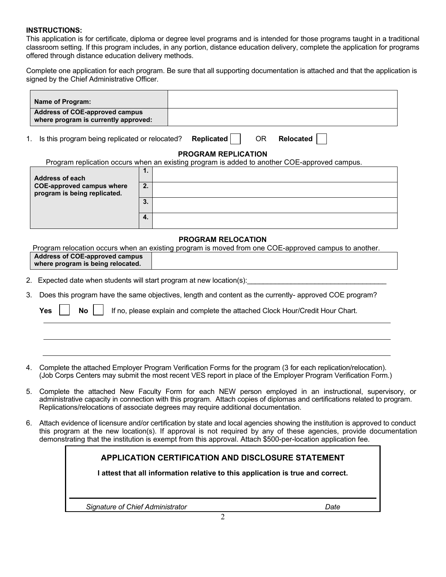#### **INSTRUCTIONS:**

This application is for certificate, diploma or degree level programs and is intended for those programs taught in a traditional classroom setting. If this program includes, in any portion, distance education delivery, complete the application for programs offered through distance education delivery methods.

Complete one application for each program. Be sure that all supporting documentation is attached and that the application is signed by the Chief Administrative Officer.

| Name of Program:                                                              |    |                                                                                              |
|-------------------------------------------------------------------------------|----|----------------------------------------------------------------------------------------------|
| <b>Address of COE-approved campus</b><br>where program is currently approved: |    |                                                                                              |
| 1.<br>Is this program being replicated or relocated?                          |    | <b>Replicated</b><br>OR.<br><b>Relocated</b>                                                 |
|                                                                               |    | <b>PROGRAM REPLICATION</b>                                                                   |
|                                                                               |    | Program replication occurs when an existing program is added to another COE-approved campus. |
|                                                                               | 1. |                                                                                              |
| Address of each                                                               |    |                                                                                              |
| <b>COE-approved campus where</b><br>program is being replicated.              | 2. |                                                                                              |
|                                                                               | 3. |                                                                                              |
|                                                                               | 4. |                                                                                              |
|                                                                               |    | <b>PROGRAM RELOCATION</b>                                                                    |

Program relocation occurs when an existing program is moved from one COE-approved campus to another. **Address of COE-approved campus where program is being relocated.** 

2. Expected date when students will start program at new location(s):

3. Does this program have the same objectives, length and content as the currently- approved COE program?

|  |  |  |  | <b>Yes <math>\Box</math></b> No $\Box$ If no, please explain and complete the attached Clock Hour/Credit Hour Chart. |  |
|--|--|--|--|----------------------------------------------------------------------------------------------------------------------|--|
|--|--|--|--|----------------------------------------------------------------------------------------------------------------------|--|

- 4. Complete the attached Employer Program Verification Forms for the program (3 for each replication/relocation). (Job Corps Centers may submit the most recent VES report in place of the Employer Program Verification Form.)
- 5. Complete the attached New Faculty Form for each NEW person employed in an instructional, supervisory, or administrative capacity in connection with this program. Attach copies of diplomas and certifications related to program. Replications/relocations of associate degrees may require additional documentation.
- 6. Attach evidence of licensure and/or certification by state and local agencies showing the institution is approved to conduct this program at the new location(s). If approval is not required by any of these agencies, provide documentation demonstrating that the institution is exempt from this approval. Attach \$500-per-location application fee.

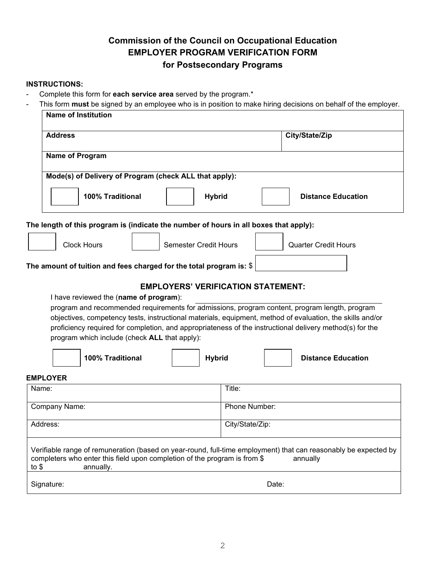# **Commission of the Council on Occupational Education EMPLOYER PROGRAM VERIFICATION FORM for Postsecondary Programs**

### **INSTRUCTIONS:**

- Complete this form for **each service area** served by the program.\*
- This form **must** be signed by an employee who is in position to make hiring decisions on behalf of the employer.

| <b>Name of Institution</b>                                                                                                                                                                                                                                                                                                                                                                                        |                                           |
|-------------------------------------------------------------------------------------------------------------------------------------------------------------------------------------------------------------------------------------------------------------------------------------------------------------------------------------------------------------------------------------------------------------------|-------------------------------------------|
| <b>Address</b>                                                                                                                                                                                                                                                                                                                                                                                                    | City/State/Zip                            |
| Name of Program                                                                                                                                                                                                                                                                                                                                                                                                   |                                           |
| Mode(s) of Delivery of Program (check ALL that apply):                                                                                                                                                                                                                                                                                                                                                            |                                           |
| 100% Traditional<br><b>Hybrid</b>                                                                                                                                                                                                                                                                                                                                                                                 | <b>Distance Education</b>                 |
| The length of this program is (indicate the number of hours in all boxes that apply):                                                                                                                                                                                                                                                                                                                             |                                           |
| <b>Clock Hours</b><br><b>Semester Credit Hours</b>                                                                                                                                                                                                                                                                                                                                                                | <b>Quarter Credit Hours</b>               |
| The amount of tuition and fees charged for the total program is: \$                                                                                                                                                                                                                                                                                                                                               |                                           |
| I have reviewed the (name of program):<br>program and recommended requirements for admissions, program content, program length, program<br>objectives, competency tests, instructional materials, equipment, method of evaluation, the skills and/or<br>proficiency required for completion, and appropriateness of the instructional delivery method(s) for the<br>program which include (check ALL that apply): | <b>EMPLOYERS' VERIFICATION STATEMENT:</b> |
| <b>Hybrid</b><br>100% Traditional                                                                                                                                                                                                                                                                                                                                                                                 | <b>Distance Education</b>                 |
| <b>EMPLOYER</b>                                                                                                                                                                                                                                                                                                                                                                                                   |                                           |
| Name:                                                                                                                                                                                                                                                                                                                                                                                                             | Title:                                    |
| Company Name:                                                                                                                                                                                                                                                                                                                                                                                                     | Phone Number:                             |
| Address:                                                                                                                                                                                                                                                                                                                                                                                                          | City/State/Zip:                           |
| Verifiable range of remuneration (based on year-round, full-time employment) that can reasonably be expected by<br>completers who enter this field upon completion of the program is from \$<br>to $$$<br>annually.                                                                                                                                                                                               | annually                                  |
| Signature:                                                                                                                                                                                                                                                                                                                                                                                                        | Date:                                     |